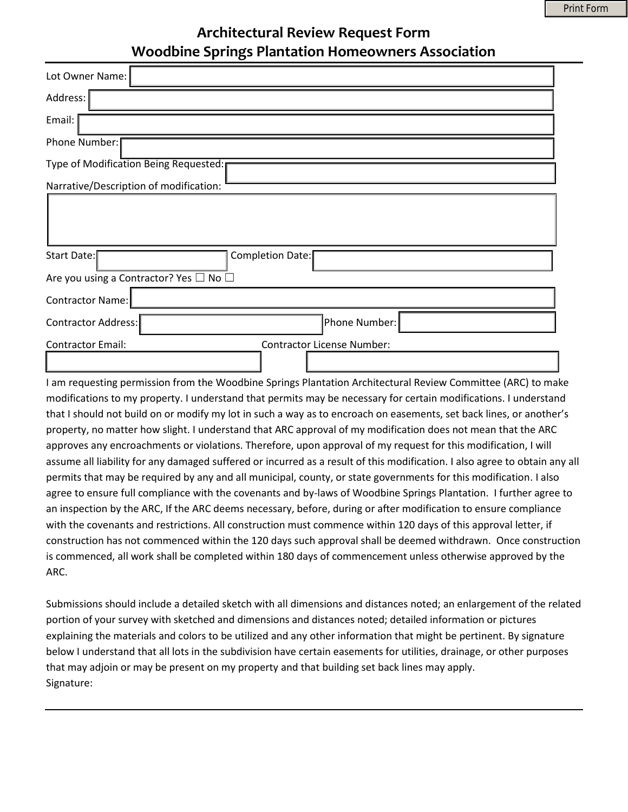## **Architectural Review Request Form Woodbine Springs Plantation Homeowners Association**

| Lot Owner Name:                        |                                   |  |
|----------------------------------------|-----------------------------------|--|
| Address:                               |                                   |  |
| Email:                                 |                                   |  |
| Phone Number:                          |                                   |  |
| Type of Modification Being Requested:  |                                   |  |
| Narrative/Description of modification: |                                   |  |
| Completion Date:<br><b>Start Date:</b> |                                   |  |
| Are you using a Contractor? Yes □ No □ |                                   |  |
| <b>Contractor Name:</b>                |                                   |  |
| Contractor Address:                    | Phone Number:                     |  |
| <b>Contractor Email:</b>               | <b>Contractor License Number:</b> |  |

I am requesting permission from the Woodbine Springs Plantation Architectural Review Committee (ARC) to make modifications to my property. I understand that permits may be necessary for certain modifications. I understand that I should not build on or modify my lot in such a way as to encroach on easements, set back lines, or another's property, no matter how slight. I understand that ARC approval of my modification does not mean that the ARC approves any encroachments or violations. Therefore, upon approval of my request for this modification, I will assume all liability for any damaged suffered or incurred as a result of this modification. I also agree to obtain any all permits that may be required by any and all municipal, county, or state governments for this modification. I also agree to ensure full compliance with the covenants and by-laws of Woodbine Springs Plantation. I further agree to an inspection by the ARC, If the ARC deems necessary, before, during or after modification to ensure compliance with the covenants and restrictions. All construction must commence within 120 days of this approval letter, if construction has not commenced within the 120 days such approval shall be deemed withdrawn. Once construction is commenced, all work shall be completed within 180 days of commencement unless otherwise approved by the ARC.

Submissions should include a detailed sketch with all dimensions and distances noted; an enlargement of the related portion of your survey with sketched and dimensions and distances noted; detailed information or pictures explaining the materials and colors to be utilized and any other information that might be pertinent. By signature below I understand that all lots in the subdivision have certain easements for utilities, drainage, or other purposes that may adjoin or may be present on my property and that building set back lines may apply. Signature: